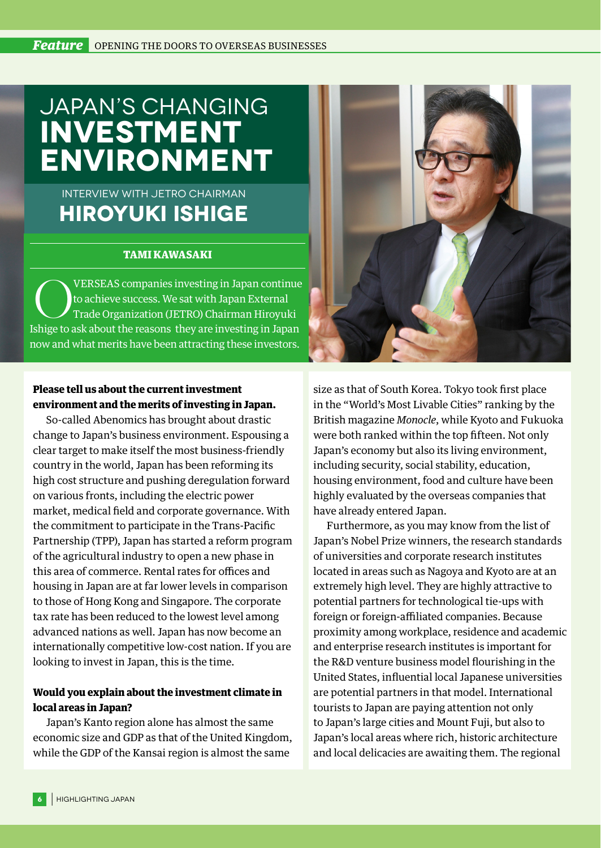# JAPAN'S CHANGING **INVESTMENT ENVIRONMENT**

## Interview with JETRO Chairman **Hiroyuki Ishige**

#### TAMI KAWASAKI

VERSEAS companies investing in Japan continue to achieve success. We sat with Japan External Trade Organization (JETRO) Chairman Hiroyuki Ishige to ask about the reasons they are investing in Japan now and what merits have been attracting these investors.

#### Please tell us about the current investment environment and the merits of investing in Japan.

So-called Abenomics has brought about drastic change to Japan's business environment. Espousing a clear target to make itself the most business-friendly country in the world, Japan has been reforming its high cost structure and pushing deregulation forward on various fronts, including the electric power market, medical field and corporate governance. With the commitment to participate in the Trans-Pacific Partnership (TPP), Japan has started a reform program of the agricultural industry to open a new phase in this area of commerce. Rental rates for offices and housing in Japan are at far lower levels in comparison to those of Hong Kong and Singapore. The corporate tax rate has been reduced to the lowest level among advanced nations as well. Japan has now become an internationally competitive low-cost nation. If you are looking to invest in Japan, this is the time.

### Would you explain about the investment climate in local areas in Japan?

Japan's Kanto region alone has almost the same economic size and GDP as that of the United Kingdom, while the GDP of the Kansai region is almost the same



size as that of South Korea. Tokyo took first place in the "World's Most Livable Cities" ranking by the British magazine *Monocle*, while Kyoto and Fukuoka were both ranked within the top fifteen. Not only Japan's economy but also its living environment, including security, social stability, education, housing environment, food and culture have been highly evaluated by the overseas companies that have already entered Japan.

Furthermore, as you may know from the list of Japan's Nobel Prize winners, the research standards of universities and corporate research institutes located in areas such as Nagoya and Kyoto are at an extremely high level. They are highly attractive to potential partners for technological tie-ups with foreign or foreign-affiliated companies. Because proximity among workplace, residence and academic and enterprise research institutes is important for the R&D venture business model flourishing in the United States, influential local Japanese universities are potential partners in that model. International tourists to Japan are paying attention not only to Japan's large cities and Mount Fuji, but also to Japan's local areas where rich, historic architecture and local delicacies are awaiting them. The regional